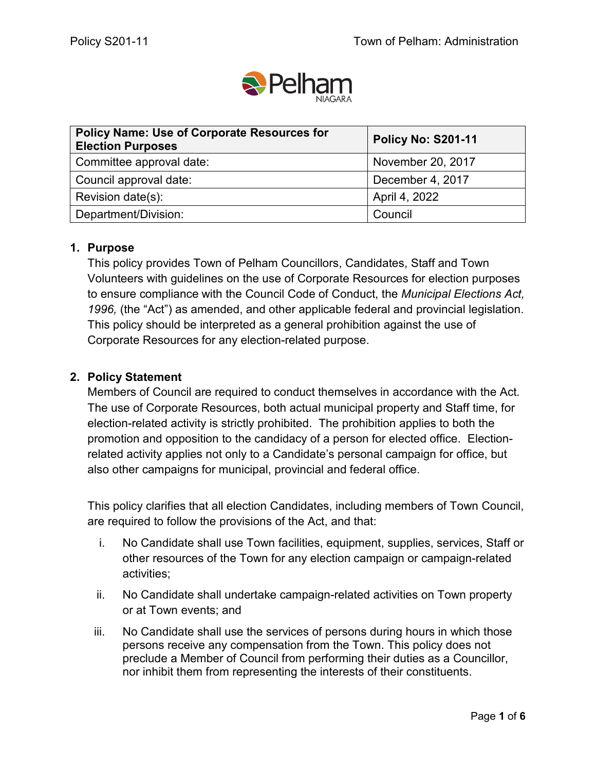

| <b>Policy Name: Use of Corporate Resources for</b><br><b>Election Purposes</b> | <b>Policy No: S201-11</b> |
|--------------------------------------------------------------------------------|---------------------------|
| Committee approval date:                                                       | November 20, 2017         |
| Council approval date:                                                         | December 4, 2017          |
| Revision date(s):                                                              | April 4, 2022             |
| Department/Division:                                                           | Council                   |

## **1. Purpose**

This policy provides Town of Pelham Councillors, Candidates, Staff and Town Volunteers with guidelines on the use of Corporate Resources for election purposes to ensure compliance with the Council Code of Conduct, the *Municipal Elections Act, 1996,* (the "Act") as amended, and other applicable federal and provincial legislation. This policy should be interpreted as a general prohibition against the use of Corporate Resources for any election-related purpose.

## **2. Policy Statement**

Members of Council are required to conduct themselves in accordance with the Act*.* The use of Corporate Resources, both actual municipal property and Staff time, for election-related activity is strictly prohibited. The prohibition applies to both the promotion and opposition to the candidacy of a person for elected office. Electionrelated activity applies not only to a Candidate's personal campaign for office, but also other campaigns for municipal, provincial and federal office.

This policy clarifies that all election Candidates, including members of Town Council, are required to follow the provisions of the Act, and that:

- i. No Candidate shall use Town facilities, equipment, supplies, services, Staff or other resources of the Town for any election campaign or campaign-related activities;
- ii. No Candidate shall undertake campaign-related activities on Town property or at Town events; and
- iii. No Candidate shall use the services of persons during hours in which those persons receive any compensation from the Town. This policy does not preclude a Member of Council from performing their duties as a Councillor, nor inhibit them from representing the interests of their constituents.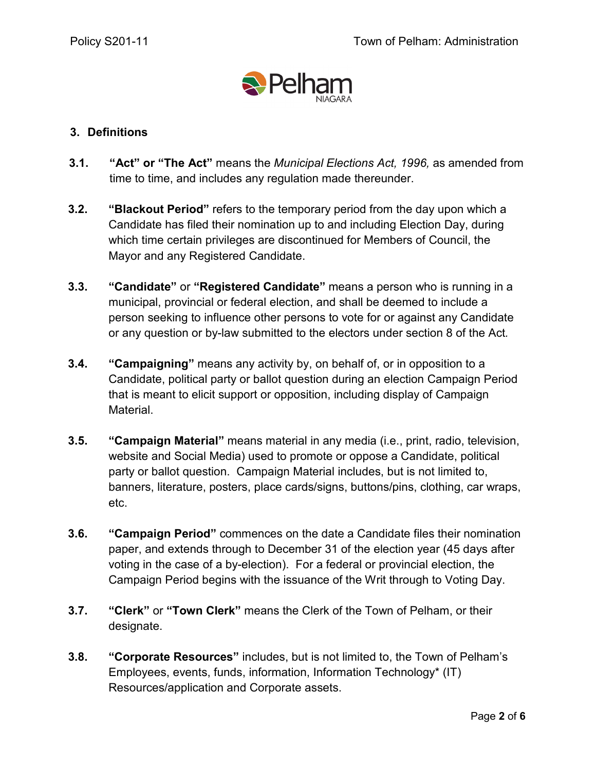

# **3. Definitions**

- **3.1. "Act" or "The Act"** means the *Municipal Elections Act, 1996,* as amended from time to time, and includes any regulation made thereunder.
- **3.2. "Blackout Period"** refers to the temporary period from the day upon which a Candidate has filed their nomination up to and including Election Day, during which time certain privileges are discontinued for Members of Council, the Mayor and any Registered Candidate.
- **3.3. "Candidate"** or **"Registered Candidate"** means a person who is running in a municipal, provincial or federal election, and shall be deemed to include a person seeking to influence other persons to vote for or against any Candidate or any question or by-law submitted to the electors under section 8 of the Act*.*
- **3.4. "Campaigning"** means any activity by, on behalf of, or in opposition to a Candidate, political party or ballot question during an election Campaign Period that is meant to elicit support or opposition, including display of Campaign Material.
- **3.5. "Campaign Material"** means material in any media (i.e., print, radio, television, website and Social Media) used to promote or oppose a Candidate, political party or ballot question. Campaign Material includes, but is not limited to, banners, literature, posters, place cards/signs, buttons/pins, clothing, car wraps, etc.
- **3.6. "Campaign Period"** commences on the date a Candidate files their nomination paper, and extends through to December 31 of the election year (45 days after voting in the case of a by-election). For a federal or provincial election, the Campaign Period begins with the issuance of the Writ through to Voting Day.
- **3.7. "Clerk"** or **"Town Clerk"** means the Clerk of the Town of Pelham, or their designate.
- **3.8. "Corporate Resources"** includes, but is not limited to, the Town of Pelham's Employees, events, funds, information, Information Technology\* (IT) Resources/application and Corporate assets.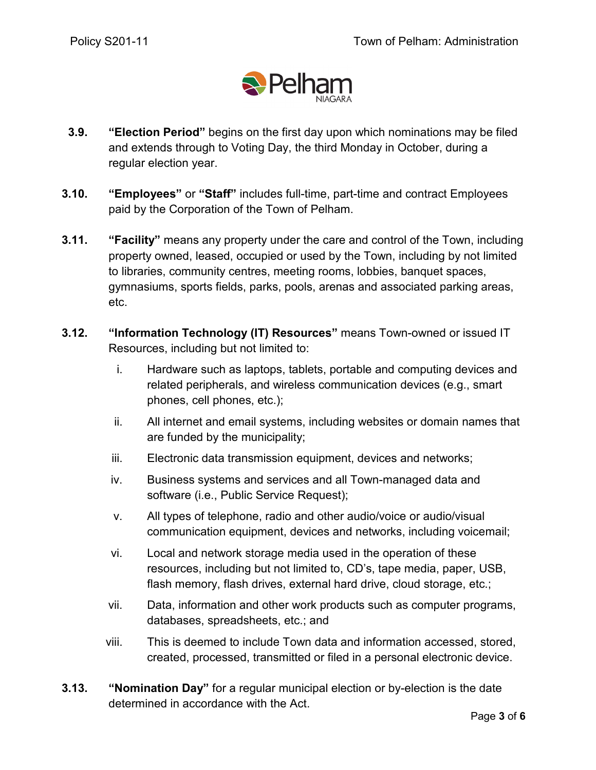

- **3.9. "Election Period"** begins on the first day upon which nominations may be filed and extends through to Voting Day, the third Monday in October, during a regular election year.
- **3.10. "Employees"** or **"Staff"** includes full-time, part-time and contract Employees paid by the Corporation of the Town of Pelham.
- **3.11. "Facility"** means any property under the care and control of the Town, including property owned, leased, occupied or used by the Town, including by not limited to libraries, community centres, meeting rooms, lobbies, banquet spaces, gymnasiums, sports fields, parks, pools, arenas and associated parking areas, etc.
- **3.12. "Information Technology (IT) Resources"** means Town-owned or issued IT Resources, including but not limited to:
	- i. Hardware such as laptops, tablets, portable and computing devices and related peripherals, and wireless communication devices (e.g., smart phones, cell phones, etc.);
	- ii. All internet and email systems, including websites or domain names that are funded by the municipality;
	- iii. Electronic data transmission equipment, devices and networks;
	- iv. Business systems and services and all Town-managed data and software (i.e., Public Service Request);
	- v. All types of telephone, radio and other audio/voice or audio/visual communication equipment, devices and networks, including voicemail;
	- vi. Local and network storage media used in the operation of these resources, including but not limited to, CD's, tape media, paper, USB, flash memory, flash drives, external hard drive, cloud storage, etc.;
	- vii. Data, information and other work products such as computer programs, databases, spreadsheets, etc.; and
	- viii. This is deemed to include Town data and information accessed, stored, created, processed, transmitted or filed in a personal electronic device.
- **3.13. "Nomination Day"** for a regular municipal election or by-election is the date determined in accordance with the Act.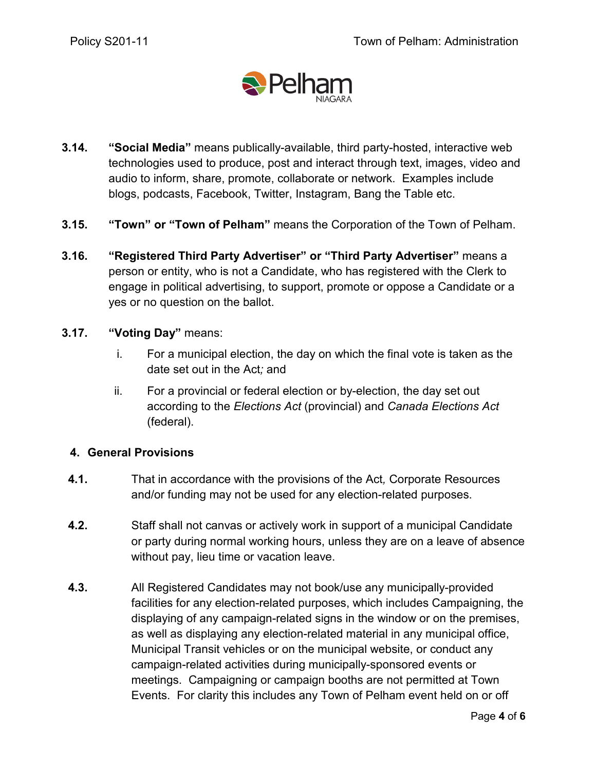

- **3.14. "Social Media"** means publically-available, third party-hosted, interactive web technologies used to produce, post and interact through text, images, video and audio to inform, share, promote, collaborate or network. Examples include blogs, podcasts, Facebook, Twitter, Instagram, Bang the Table etc.
- **3.15. "Town" or "Town of Pelham"** means the Corporation of the Town of Pelham.
- **3.16. "Registered Third Party Advertiser" or "Third Party Advertiser"** means a person or entity, who is not a Candidate, who has registered with the Clerk to engage in political advertising, to support, promote or oppose a Candidate or a yes or no question on the ballot.

## **3.17. "Voting Day"** means:

- i. For a municipal election, the day on which the final vote is taken as the date set out in the Act*;* and
- ii. For a provincial or federal election or by-election, the day set out according to the *Elections Act* (provincial) and *Canada Elections Act* (federal).

## **4. General Provisions**

- **4.1.** That in accordance with the provisions of the Act*,* Corporate Resources and/or funding may not be used for any election-related purposes.
- **4.2.** Staff shall not canvas or actively work in support of a municipal Candidate or party during normal working hours, unless they are on a leave of absence without pay, lieu time or vacation leave.
- **4.3.** All Registered Candidates may not book/use any municipally-provided facilities for any election-related purposes, which includes Campaigning, the displaying of any campaign-related signs in the window or on the premises, as well as displaying any election-related material in any municipal office, Municipal Transit vehicles or on the municipal website, or conduct any campaign-related activities during municipally-sponsored events or meetings. Campaigning or campaign booths are not permitted at Town Events. For clarity this includes any Town of Pelham event held on or off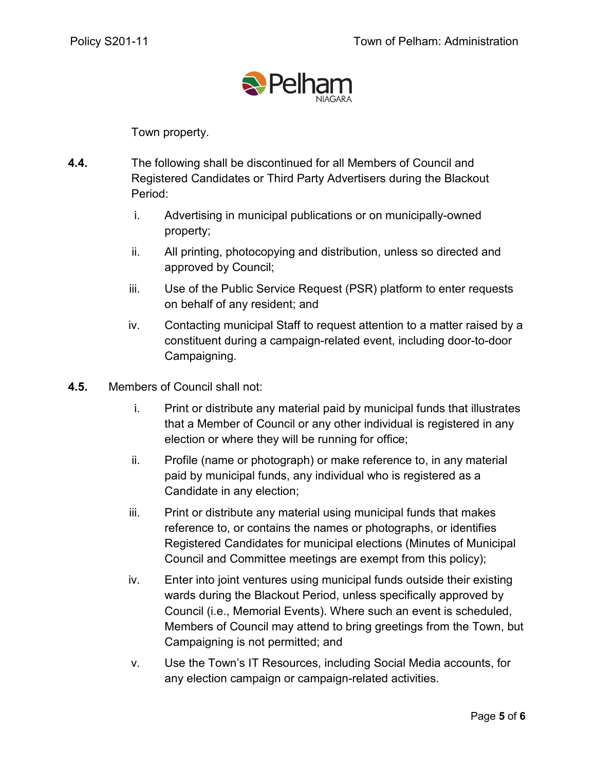

Town property.

- **4.4.** The following shall be discontinued for all Members of Council and Registered Candidates or Third Party Advertisers during the Blackout Period:
	- i. Advertising in municipal publications or on municipally-owned property;
	- ii. All printing, photocopying and distribution, unless so directed and approved by Council;
	- iii. Use of the Public Service Request (PSR) platform to enter requests on behalf of any resident; and
	- iv. Contacting municipal Staff to request attention to a matter raised by a constituent during a campaign-related event, including door-to-door Campaigning.
- **4.5.** Members of Council shall not:
	- i. Print or distribute any material paid by municipal funds that illustrates that a Member of Council or any other individual is registered in any election or where they will be running for office;
	- ii. Profile (name or photograph) or make reference to, in any material paid by municipal funds, any individual who is registered as a Candidate in any election;
	- iii. Print or distribute any material using municipal funds that makes reference to, or contains the names or photographs, or identifies Registered Candidates for municipal elections (Minutes of Municipal Council and Committee meetings are exempt from this policy);
	- iv. Enter into joint ventures using municipal funds outside their existing wards during the Blackout Period, unless specifically approved by Council (i.e., Memorial Events). Where such an event is scheduled, Members of Council may attend to bring greetings from the Town, but Campaigning is not permitted; and
	- v. Use the Town's IT Resources, including Social Media accounts, for any election campaign or campaign-related activities.